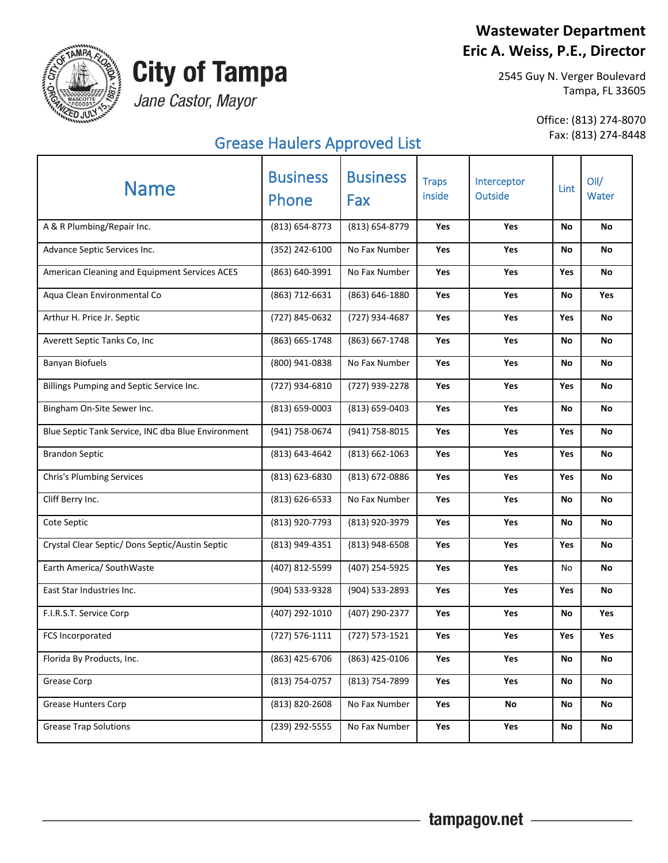### **Wastewater Department Eric A. Weiss, P.E., Director**



**MP** 

## **City of Tampa**

Jane Castor, Mayor

## Fax: (813) 274-8448 Grease Haulers Approved List

Office: (813) 274-8070

| <b>Name</b>                                        | <b>Business</b><br>Phone | <b>Business</b><br>Fax | <b>Traps</b><br>inside | Interceptor<br>Outside | Lint       | Oil/<br>Water |
|----------------------------------------------------|--------------------------|------------------------|------------------------|------------------------|------------|---------------|
| A & R Plumbing/Repair Inc.                         | (813) 654-8773           | (813) 654-8779         | Yes                    | Yes                    | No         | No            |
| Advance Septic Services Inc.                       | (352) 242-6100           | No Fax Number          | Yes                    | Yes                    | No         | No            |
| American Cleaning and Equipment Services ACES      | (863) 640-3991           | No Fax Number          | Yes                    | Yes                    | Yes        | No            |
| Aqua Clean Environmental Co                        | (863) 712-6631           | (863) 646-1880         | Yes                    | Yes                    | No         | Yes           |
| Arthur H. Price Jr. Septic                         | (727) 845-0632           | (727) 934-4687         | Yes                    | Yes                    | Yes        | <b>No</b>     |
| Averett Septic Tanks Co, Inc                       | (863) 665-1748           | (863) 667-1748         | Yes                    | Yes                    | No         | No            |
| <b>Banyan Biofuels</b>                             | (800) 941-0838           | No Fax Number          | Yes                    | Yes                    | No         | No            |
| Billings Pumping and Septic Service Inc.           | (727) 934-6810           | (727) 939-2278         | Yes                    | Yes                    | Yes        | No            |
| Bingham On-Site Sewer Inc.                         | (813) 659-0003           | (813) 659-0403         | Yes                    | Yes                    | No         | No            |
| Blue Septic Tank Service, INC dba Blue Environment | (941) 758-0674           | (941) 758-8015         | Yes                    | Yes                    | <b>Yes</b> | No            |
| <b>Brandon Septic</b>                              | (813) 643-4642           | $(813) 662 - 1063$     | Yes                    | Yes                    | Yes        | <b>No</b>     |
| <b>Chris's Plumbing Services</b>                   | (813) 623-6830           | (813) 672-0886         | Yes                    | Yes                    | Yes        | <b>No</b>     |
| Cliff Berry Inc.                                   | $(813) 626 - 6533$       | No Fax Number          | Yes                    | Yes                    | No         | No            |
| Cote Septic                                        | (813) 920-7793           | (813) 920-3979         | Yes                    | Yes                    | No         | <b>No</b>     |
| Crystal Clear Septic/ Dons Septic/Austin Septic    | (813) 949-4351           | (813) 948-6508         | Yes                    | Yes                    | Yes        | No            |
| Earth America/ SouthWaste                          | (407) 812-5599           | (407) 254-5925         | Yes                    | Yes                    | No         | <b>No</b>     |
| East Star Industries Inc.                          | (904) 533-9328           | (904) 533-2893         | Yes                    | Yes                    | Yes        | No            |
| F.I.R.S.T. Service Corp                            | (407) 292-1010           | (407) 290-2377         | <b>Yes</b>             | Yes                    | No         | <b>Yes</b>    |
| FCS Incorporated                                   | $(727) 576 - 1111$       | (727) 573-1521         | Yes                    | Yes                    | Yes        | Yes           |
| Florida By Products, Inc.                          | (863) 425-6706           | (863) 425-0106         | Yes                    | Yes                    | No         | No            |
| Grease Corp                                        | (813) 754-0757           | (813) 754-7899         | Yes                    | Yes                    | No         | No            |
| <b>Grease Hunters Corp</b>                         | (813) 820-2608           | No Fax Number          | Yes                    | No                     | No         | No            |
| <b>Grease Trap Solutions</b>                       | (239) 292-5555           | No Fax Number          | Yes                    | Yes                    | No         | No            |